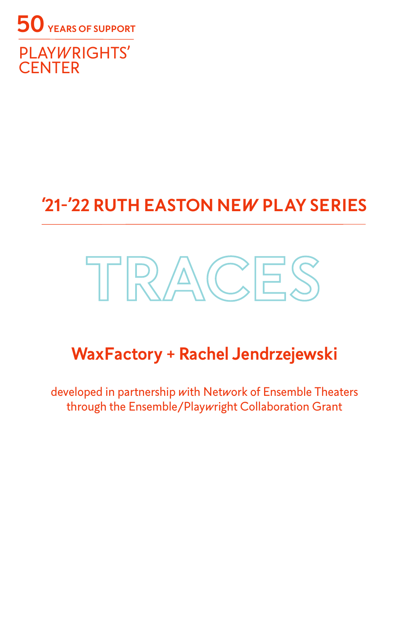

# **'21-'22 RUTH EASTON NEW PLAY SERIES**

# **TRACES**

# **WaxFactory + Rachel Jendrzejewski**

developed in partnership with Network of Ensemble Theaters through the Ensemble/Playwright Collaboration Grant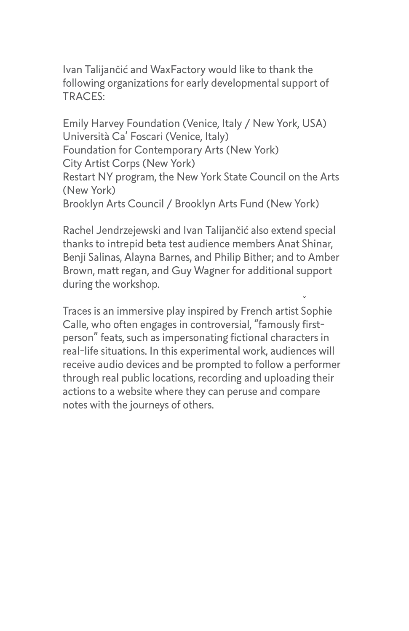Ivan Talijančić and WaxFactory would like to thank the following organizations for early developmental support of TRACES:

Emily Harvey Foundation (Venice, Italy / New York, USA) Università Ca' Foscari (Venice, Italy) Foundation for Contemporary Arts (New York) City Artist Corps (New York) Restart NY program, the New York State Council on the Arts (New York) Brooklyn Arts Council / Brooklyn Arts Fund (New York)

Rachel Jendrzejewski and Ivan Talijančić also extend special thanks to intrepid beta test audience members Anat Shinar, Benji Salinas, Alayna Barnes, and Philip Bither; and to Amber Brown, matt regan, and Guy Wagner for additional support during the workshop.

Traces is an immersive play inspired by French artist Sophie Calle, who often engages in controversial, "famously firstperson" feats, such as impersonating fictional characters in real-life situations. In this experimental work, audiences will receive audio devices and be prompted to follow a performer through real public locations, recording and uploading their actions to a website where they can peruse and compare notes with the journeys of others.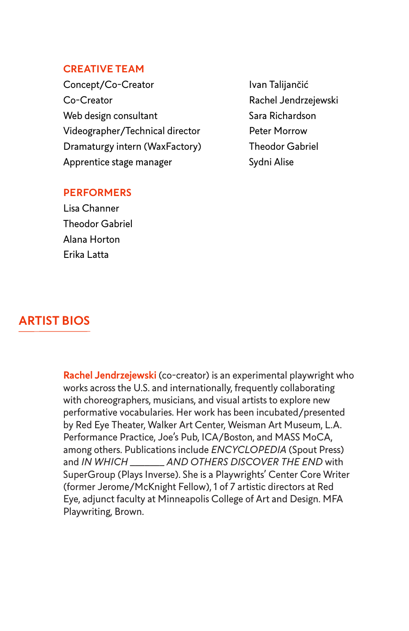#### **CREATIVE TEAM**

Concept/Co-Creator **Ivan Talijancić** Co-Creator **Rachel Jendrzejewski** Web design consultant Sara Richardson Videographer/Technical director Peter Morrow Dramaturgy intern (WaxFactory) Theodor Gabriel Apprentice stage manager Sydni Alise

#### **PERFORMERS**

Lisa Channer Theodor Gabriel Alana Horton Erika Latta

#### **ARTIST BIOS**

**Rachel Jendrzejewski** (co-creator) is an experimental playwright who works across the U.S. and internationally, frequently collaborating with choreographers, musicians, and visual artists to explore new performative vocabularies. Her work has been incubated/presented by Red Eye Theater, Walker Art Center, Weisman Art Museum, L.A. Performance Practice, Joe's Pub, ICA/Boston, and MASS MoCA, among others. Publications include *ENCYCLOPEDIA* (Spout Press) and *IN WHICH \_\_\_\_\_\_\_ AND OTHERS DISCOVER THE END* with SuperGroup (Plays Inverse). She is a Playwrights' Center Core Writer (former Jerome/McKnight Fellow), 1 of 7 artistic directors at Red Eye, adjunct faculty at Minneapolis College of Art and Design. MFA Playwriting, Brown.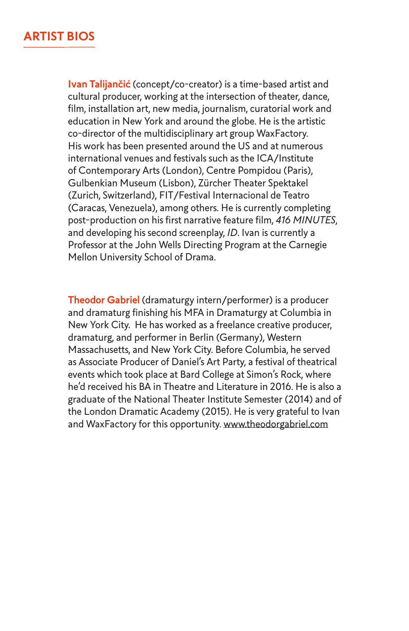**Ivan Talijančić** (concept/co-creator) is a time-based artist and cultural producer, working at the intersection of theater, dance, film, installation art, new media, journalism, curatorial work and education in New York and around the globe. He is the artistic co-director of the multidisciplinary art group WaxFactory. His work has been presented around the US and at numerous international venues and festivals such as the ICA/Institute of Contemporary Arts (London), Centre Pompidou (Paris), Gulbenkian Museum (Lisbon), Zürcher Theater Spektakel (Zurich, Switzerland), FIT/Festival Internacional de Teatro (Caracas, Venezuela), among others. He is currently completing post-production on his first narrative feature film, *416 MINUTES*, and developing his second screenplay, *ID*. Ivan is currently a Professor at the John Wells Directing Program at the Carnegie Mellon University School of Drama.

**Theodor Gabriel** (dramaturgy intern/performer) is a producer and dramaturg finishing his MFA in Dramaturgy at Columbia in New York City. He has worked as a freelance creative producer, dramaturg, and performer in Berlin (Germany), Western Massachusetts, and New York City. Before Columbia, he served as Associate Producer of Daniel's Art Party, a festival of theatrical events which took place at Bard College at Simon's Rock, where he'd received his BA in Theatre and Literature in 2016. He is also a graduate of the National Theater Institute Semester (2014) and of the London Dramatic Academy (2015). He is very grateful to Ivan and WaxFactory for this opportunity. www.theodorgabriel.com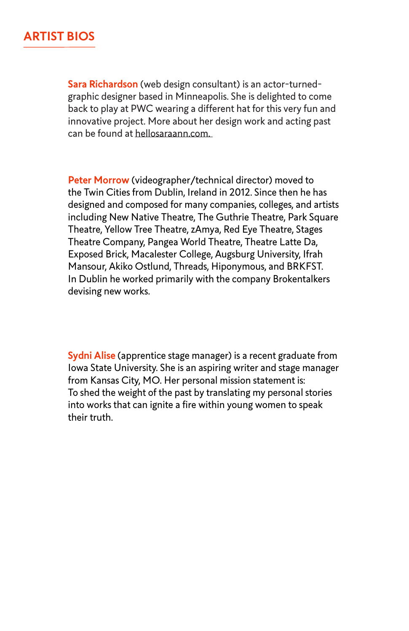**Sara Richardson** (web design consultant) is an actor-turnedgraphic designer based in Minneapolis. She is delighted to come back to play at PWC wearing a different hat for this very fun and innovative project. More about her design work and acting past can be found at hellosaraann.com.

**Peter Morrow** (videographer/technical director) moved to the Twin Cities from Dublin, Ireland in 2012. Since then he has designed and composed for many companies, colleges, and artists including New Native Theatre, The Guthrie Theatre, Park Square Theatre, Yellow Tree Theatre, zAmya, Red Eye Theatre, Stages Theatre Company, Pangea World Theatre, Theatre Latte Da, Exposed Brick, Macalester College, Augsburg University, Ifrah Mansour, Akiko Ostlund, Threads, Hiponymous, and BRKFST. In Dublin he worked primarily with the company Brokentalkers devising new works.

**Sydni Alise** (apprentice stage manager) is a recent graduate from Iowa State University. She is an aspiring writer and stage manager from Kansas City, MO. Her personal mission statement is: To shed the weight of the past by translating my personal stories into works that can ignite a fire within young women to speak their truth.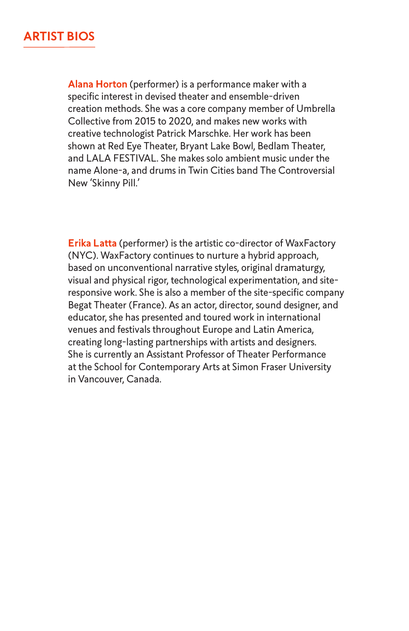**Alana Horton** (performer) is a performance maker with a specific interest in devised theater and ensemble-driven creation methods. She was a core company member of Umbrella Collective from 2015 to 2020, and makes new works with creative technologist Patrick Marschke. Her work has been shown at Red Eye Theater, Bryant Lake Bowl, Bedlam Theater, and LALA FESTIVAL. She makes solo ambient music under the name Alone-a, and drums in Twin Cities band The Controversial New 'Skinny Pill.'

**Erika Latta** (performer) is the artistic co-director of WaxFactory (NYC). WaxFactory continues to nurture a hybrid approach, based on unconventional narrative styles, original dramaturgy, visual and physical rigor, technological experimentation, and siteresponsive work. She is also a member of the site-specific company Begat Theater (France). As an actor, director, sound designer, and educator, she has presented and toured work in international venues and festivals throughout Europe and Latin America, creating long-lasting partnerships with artists and designers. She is currently an Assistant Professor of Theater Performance at the School for Contemporary Arts at Simon Fraser University in Vancouver, Canada.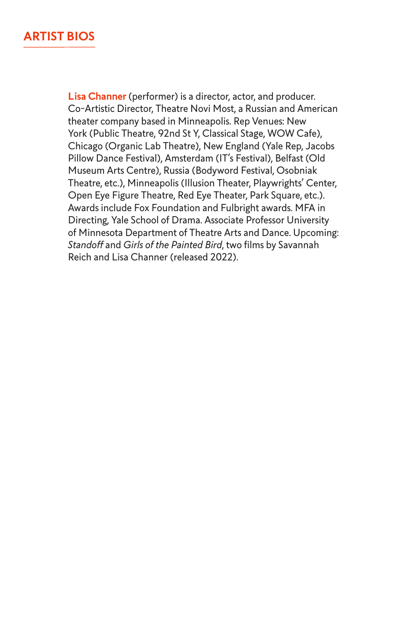**Lisa Channer** (performer) is a director, actor, and producer. Co-Artistic Director, Theatre Novi Most, a Russian and American theater company based in Minneapolis. Rep Venues: New York (Public Theatre, 92nd St Y, Classical Stage, WOW Cafe), Chicago (Organic Lab Theatre), New England (Yale Rep, Jacobs Pillow Dance Festival), Amsterdam (IT's Festival), Belfast (Old Museum Arts Centre), Russia (Bodyword Festival, Osobniak Theatre, etc.), Minneapolis (Illusion Theater, Playwrights' Center, Open Eye Figure Theatre, Red Eye Theater, Park Square, etc.). Awards include Fox Foundation and Fulbright awards. MFA in Directing, Yale School of Drama. Associate Professor University of Minnesota Department of Theatre Arts and Dance. Upcoming: *Standoff* and *Girls of the Painted Bird*, two films by Savannah Reich and Lisa Channer (released 2022).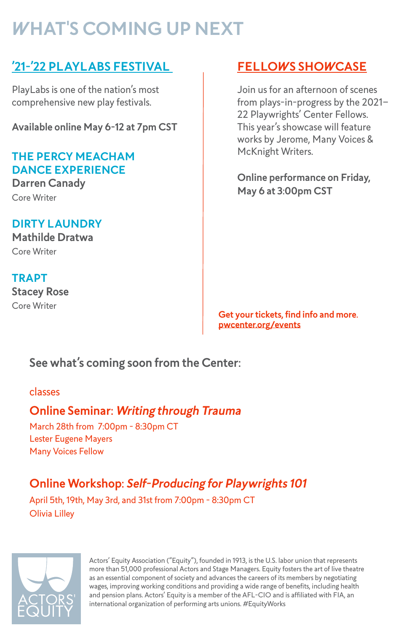# **WHAT'S COMING UP NEXT**

#### **'21-'22 PLAYLABS FESTIVAL FELLOWS SHOWCASE**

PlayLabs is one of the nation's most comprehensive new play festivals.

**Available online May 6-12 at 7pm CST**

#### **THE PERCY MEACHAM DANCE EXPERIENCE**

**Darren Canady** Core Writer

#### **DIRTY LAUNDRY Mathilde Dratwa**

Core Writer

#### **TRAPT Stacey Rose** Core Writer

Join us for an afternoon of scenes from plays-in-progress by the 2021– 22 Playwrights' Center Fellows. This year's showcase will feature works by Jerome, Many Voices & McKnight Writers.

**Online performance on Friday, May 6 at 3:00pm CST**

**Get your tickets, find info and more. pwcenter.org/events**

#### **See what's coming soon from the Center:**

#### classes

#### **Online Seminar: Writing through Trauma**

March 28th from 7:00pm - 8:30pm CT Lester Eugene Mayers Many Voices Fellow

### **Online Workshop: Self-Producing for Playwrights 101**

April 5th, 19th, May 3rd, and 31st from 7:00pm - 8:30pm CT Olivia Lilley



Actors' Equity Association ("Equity"), founded in 1913, is the U.S. labor union that represents more than 51,000 professional Actors and Stage Managers. Equity fosters the art of live theatre as an essential component of society and advances the careers of its members by negotiating wages, improving working conditions and providing a wide range of benefits, including health and pension plans. Actors' Equity is a member of the AFL-CIO and is affiliated with FIA, an international organization of performing arts unions. #EquityWorks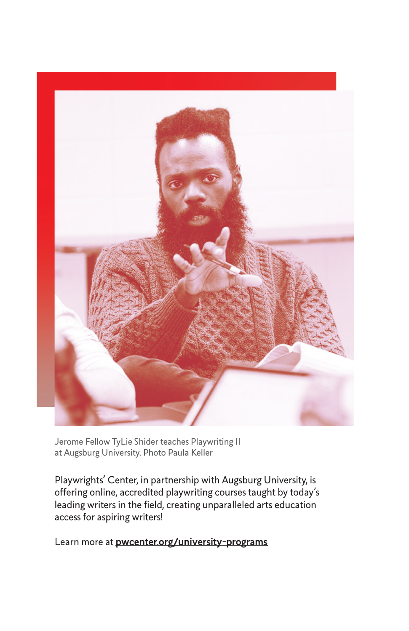

Jerome Fellow TyLie Shider teaches Playwriting II at Augsburg University. Photo Paula Keller

Playwrights' Center, in partnership with Augsburg University, is offering online, accredited playwriting courses taught by today's leading writers in the field, creating unparalleled arts education access for aspiring writers!

Learn more at **pwcenter.org/university-programs**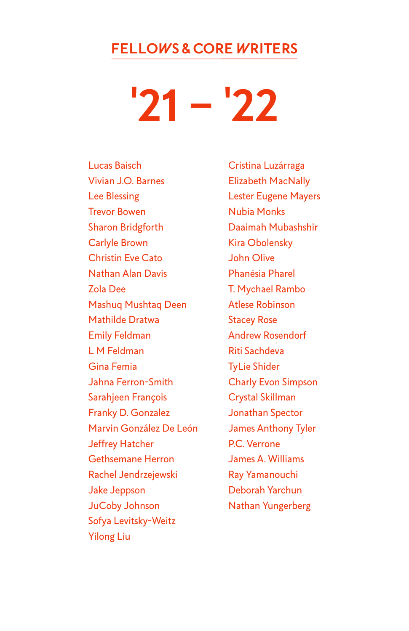#### **FELLOWS & CORE WRITERS**

**'21 – '22**

Lucas Baisch Vivian J.O. Barnes Lee Blessing Trevor Bowen Sharon Bridgforth Carlyle Brown Christin Eve Cato Nathan Alan Davis Zola Dee Mashuq Mushtaq Deen Mathilde Dratwa Emily Feldman L M Feldman Gina Femia Jahna Ferron-Smith Sarahjeen François Franky D. Gonzalez Marvin González De León Jeffrey Hatcher Gethsemane Herron Rachel Jendrzejewski Jake Jeppson JuCoby Johnson Sofya Levitsky-Weitz Yilong Liu

Cristina Luzárraga Elizabeth MacNally Lester Eugene Mayers Nubia Monks Daaimah Mubashshir Kira Obolensky John Olive Phanésia Pharel T. Mychael Rambo Atlese Robinson Stacey Rose Andrew Rosendorf Riti Sachdeva TyLie Shider Charly Evon Simpson Crystal Skillman Jonathan Spector James Anthony Tyler P.C. Verrone James A. Williams Ray Yamanouchi Deborah Yarchun Nathan Yungerberg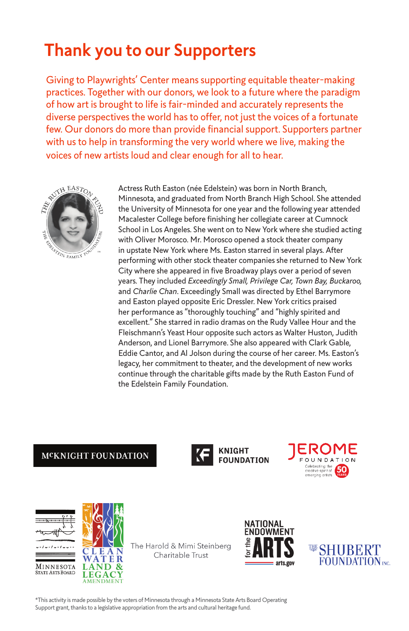# **Thank you to our Supporters**

Giving to Playwrights' Center means supporting equitable theater-making practices. Together with our donors, we look to a future where the paradigm of how art is brought to life is fair-minded and accurately represents the diverse perspectives the world has to offer, not just the voices of a fortunate few. Our donors do more than provide financial support. Supporters partner with us to help in transforming the very world where we live, making the voices of new artists loud and clear enough for all to hear.



Actress Ruth Easton (née Edelstein) was born in North Branch, Minnesota, and graduated from North Branch High School. She attended the University of Minnesota for one year and the following year attended Macalester College before finishing her collegiate career at Cumnock School in Los Angeles. She went on to New York where she studied acting with Oliver Morosco. Mr. Morosco opened a stock theater company in upstate New York where Ms. Easton starred in several plays. After performing with other stock theater companies she returned to New York City where she appeared in five Broadway plays over a period of seven years. They included *Exceedingly Small, Privilege Car, Town Bay, Buckaroo,*  and *Charlie Chan*. Exceedingly Small was directed by Ethel Barrymore and Easton played opposite Eric Dressler. New York critics praised her performance as "thoroughly touching" and "highly spirited and excellent." She starred in radio dramas on the Rudy Vallee Hour and the Fleischmann's Yeast Hour opposite such actors as Walter Huston, Judith Anderson, and Lionel Barrymore. She also appeared with Clark Gable, Eddie Cantor, and Al Jolson during the course of her career. Ms. Easton's legacy, her commitment to theater, and the development of new works continue through the charitable gifts made by the Ruth Easton Fund of the Edelstein Family Foundation.

#### **MCKNIGHT FOUNDATION**



**KNIGHT FOUNDATION** 







 $\mathbf R$ 

The Harold & Mimi Steinberg Charitable Trust





\*This activity is made possible by the voters of Minnesota through a Minnesota State Arts Board Operating Support grant, thanks to a legislative appropriation from the arts and cultural heritage fund.